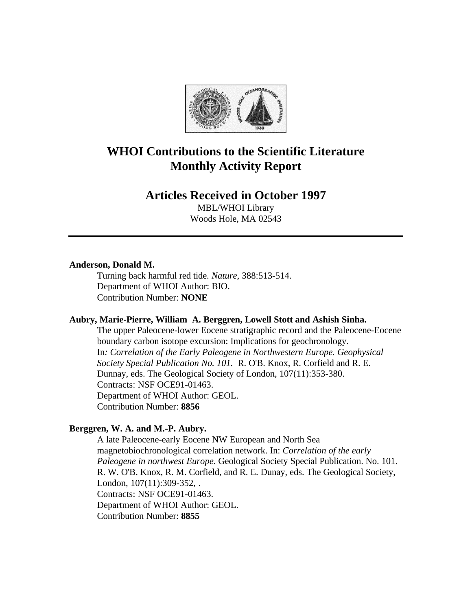

# **WHOI Contributions to the Scientific Literature Monthly Activity Report**

# **Articles Received in October 1997**

MBL/WHOI Library Woods Hole, MA 02543

#### **Anderson, Donald M.**

Turning back harmful red tide. *Nature*, 388:513-514. Department of WHOI Author: BIO. Contribution Number: **NONE**

# **Aubry, Marie-Pierre, William A. Berggren, Lowell Stott and Ashish Sinha.**

The upper Paleocene-lower Eocene stratigraphic record and the Paleocene-Eocene boundary carbon isotope excursion: Implications for geochronology. In*: Correlation of the Early Paleogene in Northwestern Europe. Geophysical Society Special Publication No. 101.* R. O'B. Knox, R. Corfield and R. E. Dunnay, eds. The Geological Society of London, 107(11):353-380. Contracts: NSF OCE91-01463. Department of WHOI Author: GEOL. Contribution Number: **8856**

# **Berggren, W. A. and M.-P. Aubry.**

A late Paleocene-early Eocene NW European and North Sea magnetobiochronological correlation network. In: *Correlation of the early Paleogene in northwest Europe.* Geological Society Special Publication. No. 101. R. W. O'B. Knox, R. M. Corfield, and R. E. Dunay, eds. The Geological Society, London, 107(11):309-352, . Contracts: NSF OCE91-01463. Department of WHOI Author: GEOL. Contribution Number: **8855**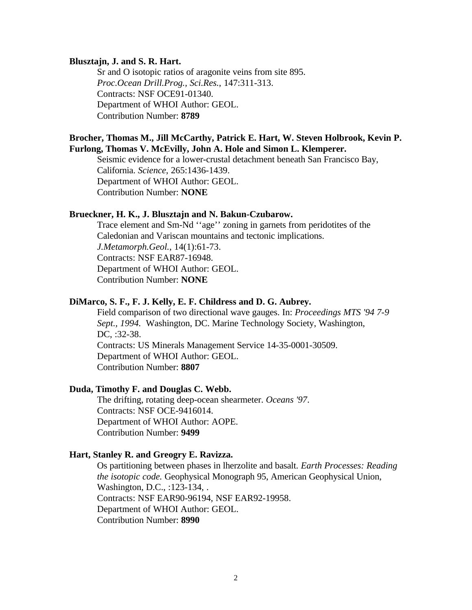#### **Blusztajn, J. and S. R. Hart.**

Sr and O isotopic ratios of aragonite veins from site 895. *Proc.Ocean Drill.Prog., Sci.Res.*, 147:311-313. Contracts: NSF OCE91-01340. Department of WHOI Author: GEOL. Contribution Number: **8789**

# **Brocher, Thomas M., Jill McCarthy, Patrick E. Hart, W. Steven Holbrook, Kevin P. Furlong, Thomas V. McEvilly, John A. Hole and Simon L. Klemperer.**

Seismic evidence for a lower-crustal detachment beneath San Francisco Bay, California. *Science*, 265:1436-1439. Department of WHOI Author: GEOL. Contribution Number: **NONE**

# **Brueckner, H. K., J. Blusztajn and N. Bakun-Czubarow.**

Trace element and Sm-Nd ''age'' zoning in garnets from peridotites of the Caledonian and Variscan mountains and tectonic implications. *J.Metamorph.Geol.*, 14(1):61-73. Contracts: NSF EAR87-16948. Department of WHOI Author: GEOL. Contribution Number: **NONE**

#### **DiMarco, S. F., F. J. Kelly, E. F. Childress and D. G. Aubrey.**

Field comparison of two directional wave gauges. In: *Proceedings MTS '94 7-9 Sept., 1994.* Washington, DC. Marine Technology Society, Washington, DC, :32-38. Contracts: US Minerals Management Service 14-35-0001-30509. Department of WHOI Author: GEOL. Contribution Number: **8807**

#### **Duda, Timothy F. and Douglas C. Webb.**

The drifting, rotating deep-ocean shearmeter. *Oceans '97*. Contracts: NSF OCE-9416014. Department of WHOI Author: AOPE. Contribution Number: **9499**

# **Hart, Stanley R. and Greogry E. Ravizza.**

Os partitioning between phases in lherzolite and basalt. *Earth Processes: Reading the isotopic code.* Geophysical Monograph 95, American Geophysical Union, Washington, D.C., :123-134, . Contracts: NSF EAR90-96194, NSF EAR92-19958. Department of WHOI Author: GEOL. Contribution Number: **8990**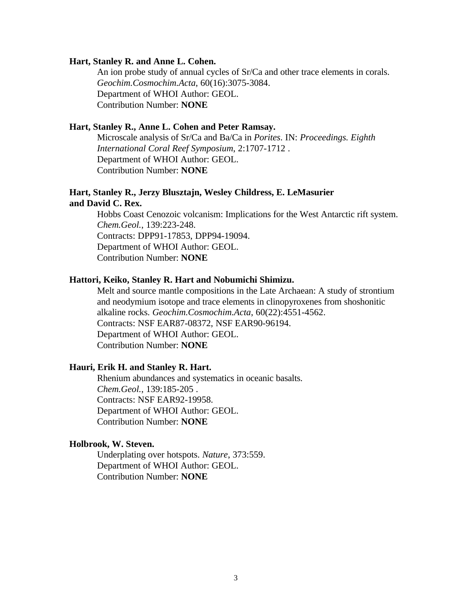#### **Hart, Stanley R. and Anne L. Cohen.**

An ion probe study of annual cycles of Sr/Ca and other trace elements in corals. *Geochim.Cosmochim.Acta*, 60(16):3075-3084. Department of WHOI Author: GEOL. Contribution Number: **NONE**

### **Hart, Stanley R., Anne L. Cohen and Peter Ramsay.**

Microscale analysis of Sr/Ca and Ba/Ca in *Porites*. IN: *Proceedings. Eighth International Coral Reef Symposium*, 2:1707-1712 . Department of WHOI Author: GEOL. Contribution Number: **NONE**

#### **Hart, Stanley R., Jerzy Blusztajn, Wesley Childress, E. LeMasurier and David C. Rex.**

Hobbs Coast Cenozoic volcanism: Implications for the West Antarctic rift system. *Chem.Geol.*, 139:223-248. Contracts: DPP91-17853, DPP94-19094. Department of WHOI Author: GEOL. Contribution Number: **NONE**

# **Hattori, Keiko, Stanley R. Hart and Nobumichi Shimizu.**

Melt and source mantle compositions in the Late Archaean: A study of strontium and neodymium isotope and trace elements in clinopyroxenes from shoshonitic alkaline rocks. *Geochim.Cosmochim.Acta*, 60(22):4551-4562. Contracts: NSF EAR87-08372, NSF EAR90-96194. Department of WHOI Author: GEOL. Contribution Number: **NONE**

#### **Hauri, Erik H. and Stanley R. Hart.**

Rhenium abundances and systematics in oceanic basalts. *Chem.Geol.*, 139:185-205 . Contracts: NSF EAR92-19958. Department of WHOI Author: GEOL. Contribution Number: **NONE**

# **Holbrook, W. Steven.**

Underplating over hotspots. *Nature*, 373:559. Department of WHOI Author: GEOL. Contribution Number: **NONE**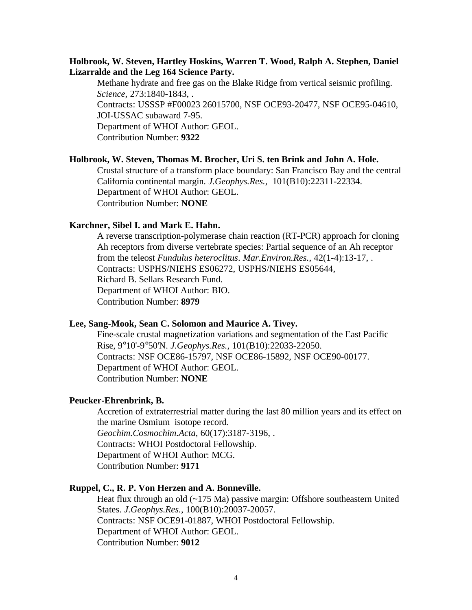# **Holbrook, W. Steven, Hartley Hoskins, Warren T. Wood, Ralph A. Stephen, Daniel Lizarralde and the Leg 164 Science Party.**

Methane hydrate and free gas on the Blake Ridge from vertical seismic profiling. *Science*, 273:1840-1843, . Contracts: USSSP #F00023 26015700, NSF OCE93-20477, NSF OCE95-04610, JOI-USSAC subaward 7-95. Department of WHOI Author: GEOL. Contribution Number: **9322**

# **Holbrook, W. Steven, Thomas M. Brocher, Uri S. ten Brink and John A. Hole.**

Crustal structure of a transform place boundary: San Francisco Bay and the central California continental margin. *J.Geophys.Res.*, 101(B10):22311-22334. Department of WHOI Author: GEOL. Contribution Number: **NONE**

#### **Karchner, Sibel I. and Mark E. Hahn.**

A reverse transcription-polymerase chain reaction (RT-PCR) approach for cloning Ah receptors from diverse vertebrate species: Partial sequence of an Ah receptor from the teleost *Fundulus heteroclitus*. *Mar.Environ.Res.*, 42(1-4):13-17, . Contracts: USPHS/NIEHS ES06272, USPHS/NIEHS ES05644, Richard B. Sellars Research Fund. Department of WHOI Author: BIO. Contribution Number: **8979**

### **Lee, Sang-Mook, Sean C. Solomon and Maurice A. Tivey.**

Fine-scale crustal magnetization variations and segmentation of the East Pacific Rise, 9°10'-9°50'N. *J.Geophys.Res.*, 101(B10):22033-22050. Contracts: NSF OCE86-15797, NSF OCE86-15892, NSF OCE90-00177. Department of WHOI Author: GEOL. Contribution Number: **NONE**

#### **Peucker-Ehrenbrink, B.**

Accretion of extraterrestrial matter during the last 80 million years and its effect on the marine Osmium isotope record. *Geochim.Cosmochim.Acta*, 60(17):3187-3196, . Contracts: WHOI Postdoctoral Fellowship. Department of WHOI Author: MCG. Contribution Number: **9171**

## **Ruppel, C., R. P. Von Herzen and A. Bonneville.**

Heat flux through an old (~175 Ma) passive margin: Offshore southeastern United States. *J.Geophys.Res.*, 100(B10):20037-20057. Contracts: NSF OCE91-01887, WHOI Postdoctoral Fellowship. Department of WHOI Author: GEOL. Contribution Number: **9012**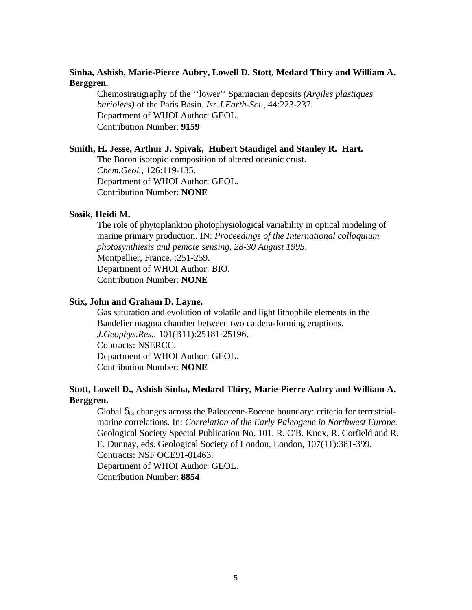# **Sinha, Ashish, Marie-Pierre Aubry, Lowell D. Stott, Medard Thiry and William A. Berggren.**

Chemostratigraphy of the ''lower'' Sparnacian deposits *(Argiles plastiques bariolees)* of the Paris Basin. *Isr.J.Earth-Sci.*, 44:223-237. Department of WHOI Author: GEOL. Contribution Number: **9159**

#### **Smith, H. Jesse, Arthur J. Spivak, Hubert Staudigel and Stanley R. Hart.**

The Boron isotopic composition of altered oceanic crust. *Chem.Geol.*, 126:119-135. Department of WHOI Author: GEOL. Contribution Number: **NONE**

# **Sosik, Heidi M.**

The role of phytoplankton photophysiological variability in optical modeling of marine primary production. IN: *Proceedings of the International colloquium photosynthiesis and pemote sensing, 28-30 August 1995,* Montpellier, France, :251-259. Department of WHOI Author: BIO. Contribution Number: **NONE**

#### **Stix, John and Graham D. Layne.**

Gas saturation and evolution of volatile and light lithophile elements in the Bandelier magma chamber between two caldera-forming eruptions. *J.Geophys.Res.*, 101(B11):25181-25196. Contracts: NSERCC. Department of WHOI Author: GEOL. Contribution Number: **NONE**

# **Stott, Lowell D., Ashish Sinha, Medard Thiry, Marie-Pierre Aubry and William A. Berggren.**

Global  $\delta_{13}$  changes across the Paleocene-Eocene boundary: criteria for terrestrialmarine correlations. In: *Correlation of the Early Paleogene in Northwest Europe.* Geological Society Special Publication No. 101. R. O'B. Knox, R. Corfield and R. E. Dunnay, eds. Geological Society of London, London, 107(11):381-399. Contracts: NSF OCE91-01463. Department of WHOI Author: GEOL. Contribution Number: **8854**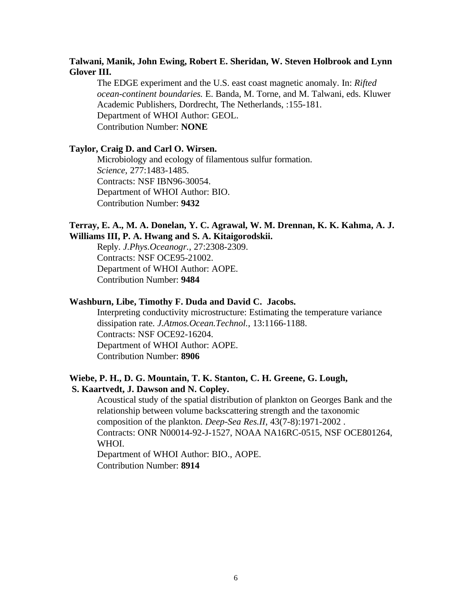# **Talwani, Manik, John Ewing, Robert E. Sheridan, W. Steven Holbrook and Lynn Glover III.**

The EDGE experiment and the U.S. east coast magnetic anomaly. In: *Rifted ocean-continent boundaries.* E. Banda, M. Torne, and M. Talwani, eds. Kluwer Academic Publishers, Dordrecht, The Netherlands, :155-181. Department of WHOI Author: GEOL. Contribution Number: **NONE**

# **Taylor, Craig D. and Carl O. Wirsen.**

Microbiology and ecology of filamentous sulfur formation. *Science*, 277:1483-1485. Contracts: NSF IBN96-30054. Department of WHOI Author: BIO. Contribution Number: **9432**

# **Terray, E. A., M. A. Donelan, Y. C. Agrawal, W. M. Drennan, K. K. Kahma, A. J. Williams III, P. A. Hwang and S. A. Kitaigorodskii.**

Reply. *J.Phys.Oceanogr.*, 27:2308-2309. Contracts: NSF OCE95-21002. Department of WHOI Author: AOPE. Contribution Number: **9484**

#### **Washburn, Libe, Timothy F. Duda and David C. Jacobs.**

Interpreting conductivity microstructure: Estimating the temperature variance dissipation rate. *J.Atmos.Ocean.Technol.*, 13:1166-1188. Contracts: NSF OCE92-16204. Department of WHOI Author: AOPE. Contribution Number: **8906**

# **Wiebe, P. H., D. G. Mountain, T. K. Stanton, C. H. Greene, G. Lough, S. Kaartvedt, J. Dawson and N. Copley.**

Acoustical study of the spatial distribution of plankton on Georges Bank and the relationship between volume backscattering strength and the taxonomic composition of the plankton. *Deep-Sea Res.II*, 43(7-8):1971-2002 . Contracts: ONR N00014-92-J-1527, NOAA NA16RC-0515, NSF OCE801264, WHOI.

Department of WHOI Author: BIO., AOPE. Contribution Number: **8914**